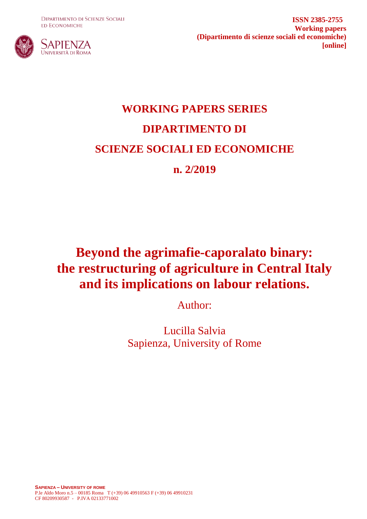**DIPARTIMENTO DI SCIENZE SOCIALI ED ECONOMICHE** 



**ISSN 2385-2755 Working papers (Dipartimento di scienze sociali ed economiche) [online]**

# **WORKING PAPERS SERIES DIPARTIMENTO DI SCIENZE SOCIALI ED ECONOMICHE n. 2/2019**

## **Beyond the agrimafie-caporalato binary: the restructuring of agriculture in Central Italy and its implications on labour relations.**

Author:

Lucilla Salvia Sapienza, University of Rome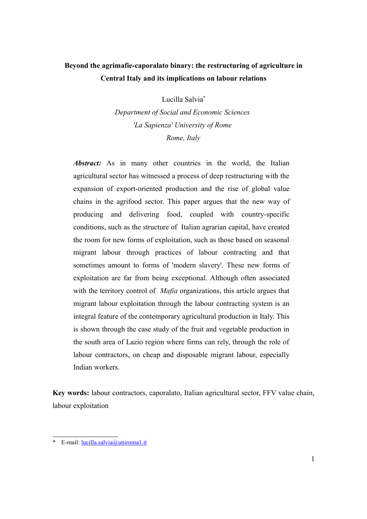## **Beyond the agrimafie-caporalato binary: the restructuring of agriculture in Central Italy and its implications on labour relations**

Lucilla Salvia[\\*](#page-1-0)

*Department of Social and Economic Sciences 'La Sapienza' University of Rome Rome, Italy*

Abstract: As in many other countries in the world, the Italian agricultural sector has witnessed a process of deep restructuring with the expansion of export-oriented production and the rise of global value chains in the agrifood sector. This paper argues that the new way of producing and delivering food, coupled with country-specific conditions, such as the structure of Italian agrarian capital, have created the room for new forms of exploitation, such as those based on seasonal migrant labour through practices of labour contracting and that sometimes amount to forms of 'modern slavery'. These new forms of exploitation are far from being exceptional. Although often associated with the territory control of *Mafia* organizations, this article argues that migrant labour exploitation through the labour contracting system is an integral feature of the contemporary agricultural production in Italy. This is shown through the case study of the fruit and vegetable production in the south area of Lazio region where firms can rely, through the role of labour contractors, on cheap and disposable migrant labour, especially Indian workers.

**Key words:** labour contractors, caporalato, Italian agricultural sector, FFV value chain, labour exploitation

<span id="page-1-0"></span>E-mail: [lucilla.salvia@uniroma1.it](mailto:lucilla.salvia@uniroma1.it)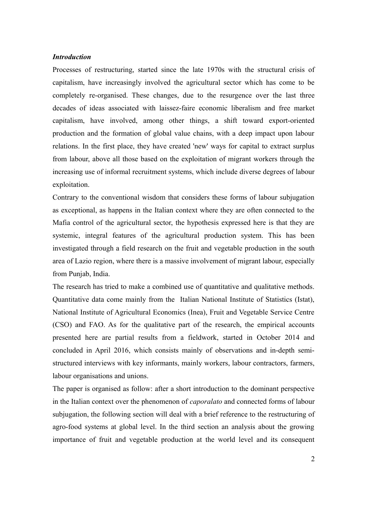#### *Introduction*

Processes of restructuring, started since the late 1970s with the structural crisis of capitalism, have increasingly involved the agricultural sector which has come to be completely re-organised. These changes, due to the resurgence over the last three decades of ideas associated with laissez-faire economic liberalism and free market capitalism, have involved, among other things, a shift toward export-oriented production and the formation of global value chains, with a deep impact upon labour relations. In the first place, they have created 'new' ways for capital to extract surplus from labour, above all those based on the exploitation of migrant workers through the increasing use of informal recruitment systems, which include diverse degrees of labour exploitation.

Contrary to the conventional wisdom that considers these forms of labour subjugation as exceptional, as happens in the Italian context where they are often connected to the Mafia control of the agricultural sector, the hypothesis expressed here is that they are systemic, integral features of the agricultural production system. This has been investigated through a field research on the fruit and vegetable production in the south area of Lazio region, where there is a massive involvement of migrant labour, especially from Punjab, India.

The research has tried to make a combined use of quantitative and qualitative methods. Quantitative data come mainly from the Italian National Institute of Statistics (Istat), National Institute of Agricultural Economics (Inea), Fruit and Vegetable Service Centre (CSO) and FAO. As for the qualitative part of the research, the empirical accounts presented here are partial results from a fieldwork, started in October 2014 and concluded in April 2016, which consists mainly of observations and in-depth semistructured interviews with key informants, mainly workers, labour contractors, farmers, labour organisations and unions.

The paper is organised as follow: after a short introduction to the dominant perspective in the Italian context over the phenomenon of *caporalato* and connected forms of labour subjugation, the following section will deal with a brief reference to the restructuring of agro-food systems at global level. In the third section an analysis about the growing importance of fruit and vegetable production at the world level and its consequent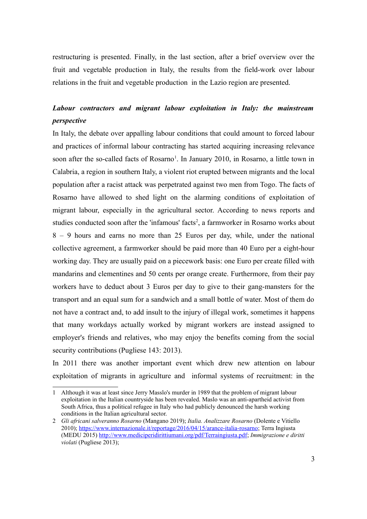restructuring is presented. Finally, in the last section, after a brief overview over the fruit and vegetable production in Italy, the results from the field-work over labour relations in the fruit and vegetable production in the Lazio region are presented.

## *Labour contractors and migrant labour exploitation in Italy: the mainstream perspective*

In Italy, the debate over appalling labour conditions that could amount to forced labour and practices of informal labour contracting has started acquiring increasing relevance soon after the so-called facts of Rosarno<sup>[1](#page-3-0)</sup>. In January 2010, in Rosarno, a little town in Calabria, a region in southern Italy, a violent riot erupted between migrants and the local population after a racist attack was perpetrated against two men from Togo. The facts of Rosarno have allowed to shed light on the alarming conditions of exploitation of migrant labour, especially in the agricultural sector. According to news reports and studies conducted soon after the 'infamous' facts<sup>[2](#page-3-1)</sup>, a farmworker in Rosarno works about 8 – 9 hours and earns no more than 25 Euros per day, while, under the national collective agreement, a farmworker should be paid more than 40 Euro per a eight-hour working day. They are usually paid on a piecework basis: one Euro per create filled with mandarins and clementines and 50 cents per orange create. Furthermore, from their pay workers have to deduct about 3 Euros per day to give to their gang-mansters for the transport and an equal sum for a sandwich and a small bottle of water. Most of them do not have a contract and, to add insult to the injury of illegal work, sometimes it happens that many workdays actually worked by migrant workers are instead assigned to employer's friends and relatives, who may enjoy the benefits coming from the social security contributions (Pugliese 143: 2013).

In 2011 there was another important event which drew new attention on labour exploitation of migrants in agriculture and informal systems of recruitment: in the

<span id="page-3-0"></span><sup>1</sup> Although it was at least since Jerry Masslo's murder in 1989 that the problem of migrant labour exploitation in the Italian countryside has been revealed. Maslo was an anti-apartheid activist from South Africa, thus a political refugee in Italy who had publicly denounced the harsh working conditions in the Italian agricultural sector.

<span id="page-3-1"></span><sup>2</sup> *Gli africani salveranno Rosarno* (Mangano 2019); *Italia. Analizzare Rosarno* (Dolente e Vitiello 2010); [https://www.internazionale.it/reportage/2016/04/15/arance-italia-rosarno;](https://www.internazionale.it/reportage/2016/04/15/arance-italia-rosarno) Terra Ingiusta (MEDU 2015) [http://www.mediciperidirittiumani.org/pdf/Terraingiusta.pdf;](http://www.mediciperidirittiumani.org/pdf/Terraingiusta.pdf) *Immigrazione e diritti violati* (Pugliese 2013);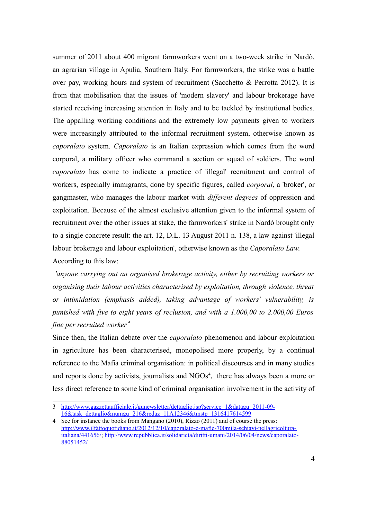<span id="page-4-0"></span>summer of 2011 about 400 migrant farmworkers went on a two-week strike in Nardò, an agrarian village in Apulia, Southern Italy. For farmworkers, the strike was a battle over pay, working hours and system of recruitment [\(Sacchetto & Perrotta 2012\)](#page-4-0). It is from that mobilisation that the issues of 'modern slavery' and labour brokerage have started receiving increasing attention in Italy and to be tackled by institutional bodies. The appalling working conditions and the extremely low payments given to workers were increasingly attributed to the informal recruitment system, otherwise known as *caporalato* system. *Caporalato* is an Italian expression which comes from the word corporal, a military officer who command a section or squad of soldiers. The word *caporalato* has come to indicate a practice of 'illegal' recruitment and control of workers, especially immigrants, done by specific figures, called *corporal*, a 'broker', or gangmaster, who manages the labour market with *different degrees* of oppression and exploitation. Because of the almost exclusive attention given to the informal system of recruitment over the other issues at stake, the farmworkers' strike in Nardò brought only to a single concrete result: the art. 12, D.L. 13 August 2011 n. 138, a law against 'illegal labour brokerage and labour exploitation', otherwise known as the *Caporalato Law*. According to this law:

*'anyone carrying out an organised brokerage activity, either by recruiting workers or organising their labour activities characterised by exploitation, through violence, threat or intimidation (emphasis added), taking advantage of workers' vulnerability, is punished with five to eight years of reclusion, and with a 1.000,00 to 2.000,00 Euros fine per recruited worker'*[3](#page-4-1)

Since then, the Italian debate over the *caporalato* phenomenon and labour exploitation in agriculture has been characterised, monopolised more properly, by a continual reference to the Mafia criminal organisation: in political discourses and in many studies and reports done by activists, journalists and  $NGOs<sup>4</sup>$  $NGOs<sup>4</sup>$  $NGOs<sup>4</sup>$ , there has always been a more or less direct reference to some kind of criminal organisation involvement in the activity of

<span id="page-4-1"></span><sup>3</sup> [http://www.gazzettaufficiale.it/gunewsletter/dettaglio.jsp?service=1&datagu=2011-09-](http://www.gazzettaufficiale.it/gunewsletter/dettaglio.jsp?service=1&datagu=2011-09-16&task=dettaglio&numgu=216&redaz=11A12346&tmstp=1316417614599) [16&task=dettaglio&numgu=216&redaz=11A12346&tmstp=1316417614599](http://www.gazzettaufficiale.it/gunewsletter/dettaglio.jsp?service=1&datagu=2011-09-16&task=dettaglio&numgu=216&redaz=11A12346&tmstp=1316417614599)

<span id="page-4-2"></span><sup>4</sup> See for instance the books from Mangano (2010), Rizzo (2011) and of course the press: [http://www.ilfattoquotidiano.it/2012/12/10/caporalato-e-mafie-700mila-schiavi-nellagricoltura](http://www.ilfattoquotidiano.it/2012/12/10/caporalato-e-mafie-700mila-schiavi-nellagricoltura-italiana/441656/)[italiana/441656/;](http://www.ilfattoquotidiano.it/2012/12/10/caporalato-e-mafie-700mila-schiavi-nellagricoltura-italiana/441656/) [http://www.repubblica.it/solidarieta/diritti-umani/2014/06/04/news/caporalato-](http://www.repubblica.it/solidarieta/diritti-umani/2014/06/04/news/caporalato-88051452/)[88051452/](http://www.repubblica.it/solidarieta/diritti-umani/2014/06/04/news/caporalato-88051452/)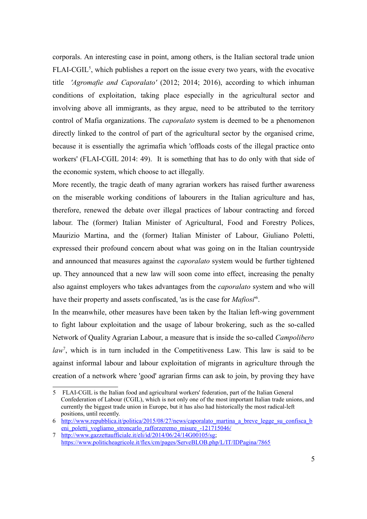<span id="page-5-1"></span>corporals. An interesting case in point, among others, is the Italian sectoral trade union FLAI-CGIL<sup>[5](#page-5-2)</sup>, which publishes a report on the issue every two years, with the evocative title *'Agromafie and Caporalato'* [\(2012;](#page-5-1) 2014; 2016), according to which inhuman conditions of exploitation, taking place especially in the agricultural sector and involving above all immigrants, as they argue, need to be attributed to the territory control of Mafia organizations. The *caporalato* system is deemed to be a phenomenon directly linked to the control of part of the agricultural sector by the organised crime, because it is essentially the agrimafia which 'offloads costs of the illegal practice onto workers' [\(FLAI-CGIL 2014:](#page-5-0) 49). It is something that has to do only with that side of the economic system, which choose to act illegally.

<span id="page-5-0"></span>More recently, the tragic death of many agrarian workers has raised further awareness on the miserable working conditions of labourers in the Italian agriculture and has, therefore, renewed the debate over illegal practices of labour contracting and forced labour. The (former) Italian Minister of Agricultural, Food and Forestry Polices, Maurizio Martina, and the (former) Italian Minister of Labour, Giuliano Poletti, expressed their profound concern about what was going on in the Italian countryside and announced that measures against the *caporalato* system would be further tightened up. They announced that a new law will soon come into effect, increasing the penalty also against employers who takes advantages from the *caporalato* system and who will have their property and assets confiscated, 'as is the case for *Mafiosi*' [6](#page-5-3) .

In the meanwhile, other measures have been taken by the Italian left-wing government to fight labour exploitation and the usage of labour brokering, such as the so-called Network of Quality Agrarian Labour, a measure that is inside the so-called *Campolibero* law<sup>[7](#page-5-4)</sup>, which is in turn included in the Competitiveness Law. This law is said to be against informal labour and labour exploitation of migrants in agriculture through the creation of a network where 'good' agrarian firms can ask to join, by proving they have

<span id="page-5-2"></span><sup>5</sup> FLAI-CGIL is the Italian food and agricultural workers' federation, part of the Italian General Confederation of Labour (CGIL), which is not only one of the most important Italian trade unions, and currently the biggest trade union in Europe, but it has also had historically the most radical-left positions, until recently.

<span id="page-5-3"></span><sup>6</sup> [http://www.repubblica.it/politica/2015/08/27/news/caporalato\\_martina\\_a\\_breve\\_legge\\_su\\_confisca\\_b](http://www.repubblica.it/politica/2015/08/27/news/caporalato_martina_a_breve_legge_su_confisca_beni_poletti_vogliamo_stroncarlo_rafforzeremo_misure_-121715046/) eni poletti vogliamo stroncarlo rafforzeremo misure -121715046/

<span id="page-5-4"></span><sup>7</sup> [http://www.gazzettaufficiale.it/eli/id/2014/06/24/14G00105/sg;](http://www.gazzettaufficiale.it/eli/id/2014/06/24/14G00105/sg) <https://www.politicheagricole.it/flex/cm/pages/ServeBLOB.php/L/IT/IDPagina/7865>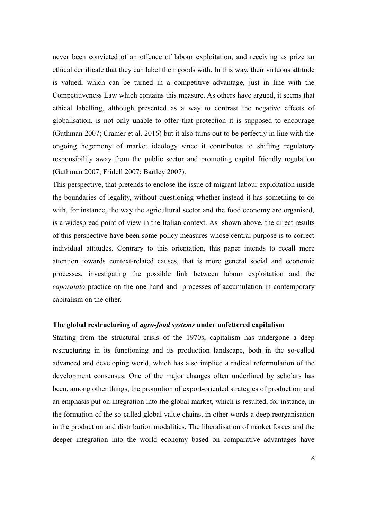never been convicted of an offence of labour exploitation, and receiving as prize an ethical certificate that they can label their goods with. In this way, their virtuous attitude is valued, which can be turned in a competitive advantage, just in line with the Competitiveness Law which contains this measure. As others have argued, it seems that ethical labelling, although presented as a way to contrast the negative effects of globalisation, is not only unable to offer that protection it is supposed to encourage (Guthman 2007; Cramer et al. 2016) but it also turns out to be perfectly in line with the ongoing hegemony of market ideology since it contributes to shifting regulatory responsibility away from the public sector and promoting capital friendly regulation (Guthman 2007; Fridell 2007; Bartley 2007).

This perspective, that pretends to enclose the issue of migrant labour exploitation inside the boundaries of legality, without questioning whether instead it has something to do with, for instance, the way the agricultural sector and the food economy are organised, is a widespread point of view in the Italian context. As shown above, the direct results of this perspective have been some policy measures whose central purpose is to correct individual attitudes. Contrary to this orientation, this paper intends to recall more attention towards context-related causes, that is more general social and economic processes, investigating the possible link between labour exploitation and the *caporalato* practice on the one hand and processes of accumulation in contemporary capitalism on the other.

#### **The global restructuring of** *agro-food systems* **under unfettered capitalism**

Starting from the structural crisis of the 1970s, capitalism has undergone a deep restructuring in its functioning and its production landscape, both in the so-called advanced and developing world, which has also implied a radical reformulation of the development consensus. One of the major changes often underlined by scholars has been, among other things, the promotion of export-oriented strategies of production and an emphasis put on integration into the global market, which is resulted, for instance, in the formation of the so-called global value chains, in other words a deep reorganisation in the production and distribution modalities. The liberalisation of market forces and the deeper integration into the world economy based on comparative advantages have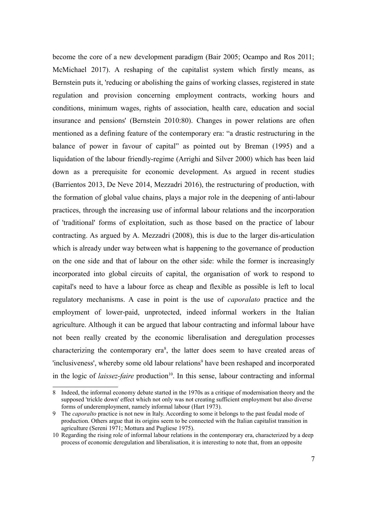become the core of a new development paradigm (Bair 2005; Ocampo and Ros 2011; McMichael 2017). A reshaping of the capitalist system which firstly means, as Bernstein puts it, 'reducing or abolishing the gains of working classes, registered in state regulation and provision concerning employment contracts, working hours and conditions, minimum wages, rights of association, health care, education and social insurance and pensions' (Bernstein 2010:80). Changes in power relations are often mentioned as a defining feature of the contemporary era: "a drastic restructuring in the balance of power in favour of capital" as pointed out by Breman (1995) and a liquidation of the labour friendly-regime (Arrighi and Silver 2000) which has been laid down as a prerequisite for economic development. As argued in recent studies (Barrientos 2013, De Neve 2014, Mezzadri 2016), the restructuring of production, with the formation of global value chains, plays a major role in the deepening of anti-labour practices, through the increasing use of informal labour relations and the incorporation of 'traditional' forms of exploitation, such as those based on the practice of labour contracting. As argued by A. Mezzadri (2008), this is due to the larger dis-articulation which is already under way between what is happening to the governance of production on the one side and that of labour on the other side: while the former is increasingly incorporated into global circuits of capital, the organisation of work to respond to capital's need to have a labour force as cheap and flexible as possible is left to local regulatory mechanisms. A case in point is the use of *caporalato* practice and the employment of lower-paid, unprotected, indeed informal workers in the Italian agriculture. Although it can be argued that labour contracting and informal labour have not been really created by the economic liberalisation and deregulation processes characterizing the contemporary era<sup>[8](#page-7-0)</sup>, the latter does seem to have created areas of 'inclusiveness', whereby some old labour relations<sup>[9](#page-7-1)</sup> have been reshaped and incorporated in the logic of *laissez-faire* production<sup>[10](#page-7-2)</sup>. In this sense, labour contracting and informal

<span id="page-7-0"></span><sup>8</sup> Indeed, the informal economy debate started in the 1970s as a critique of modernisation theory and the supposed 'trickle down' effect which not only was not creating sufficient employment but also diverse forms of underemployment, namely informal labour (Hart 1973).

<span id="page-7-1"></span><sup>9</sup> The *caporalto* practice is not new in Italy. According to some it belongs to the past feudal mode of production. Others argue that its origins seem to be connected with the Italian capitalist transition in agriculture (Sereni 1971; Mottura and Pugliese 1975).

<span id="page-7-2"></span><sup>10</sup> Regarding the rising role of informal labour relations in the contemporary era, characterized by a deep process of economic deregulation and liberalisation, it is interesting to note that, from an opposite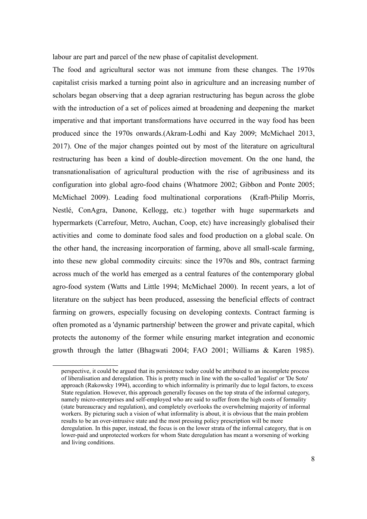labour are part and parcel of the new phase of capitalist development.

The food and agricultural sector was not immune from these changes. The 1970s capitalist crisis marked a turning point also in agriculture and an increasing number of scholars began observing that a deep agrarian restructuring has begun across the globe with the introduction of a set of polices aimed at broadening and deepening the market imperative and that important transformations have occurred in the way food has been produced since the 1970s onwards.(Akram-Lodhi and Kay 2009; McMichael 2013, 2017). One of the major changes pointed out by most of the literature on agricultural restructuring has been a kind of double-direction movement. On the one hand, the transnationalisation of agricultural production with the rise of agribusiness and its configuration into global agro-food chains (Whatmore 2002; Gibbon and Ponte 2005; McMichael 2009). Leading food multinational corporations (Kraft-Philip Morris, Nestlé, ConAgra, Danone, Kellogg, etc.) together with huge supermarkets and hypermarkets (Carrefour, Metro, Auchan, Coop, etc) have increasingly globalised their activities and come to dominate food sales and food production on a global scale. On the other hand, the increasing incorporation of farming, above all small-scale farming, into these new global commodity circuits: since the 1970s and 80s, contract farming across much of the world has emerged as a central features of the contemporary global agro-food system (Watts and Little 1994; McMichael 2000). In recent years, a lot of literature on the subject has been produced, assessing the beneficial effects of contract farming on growers, especially focusing on developing contexts. Contract farming is often promoted as a 'dynamic partnership' between the grower and private capital, which protects the autonomy of the former while ensuring market integration and economic growth through the latter (Bhagwati 2004; FAO 2001; Williams & Karen 1985).

perspective, it could be argued that its persistence today could be attributed to an incomplete process of liberalisation and deregulation. This is pretty much in line with the so-called 'legalist' or 'De Soto' approach (Rakowsky 1994), according to which informality is primarily due to legal factors, to excess State regulation. However, this approach generally focuses on the top strata of the informal category, namely micro-enterprises and self-employed who are said to suffer from the high costs of formality (state bureaucracy and regulation), and completely overlooks the overwhelming majority of informal workers. By picturing such a vision of what informality is about, it is obvious that the main problem results to be an over-intrusive state and the most pressing policy prescription will be more deregulation. In this paper, instead, the focus is on the lower strata of the informal category, that is on lower-paid and unprotected workers for whom State deregulation has meant a worsening of working and living conditions.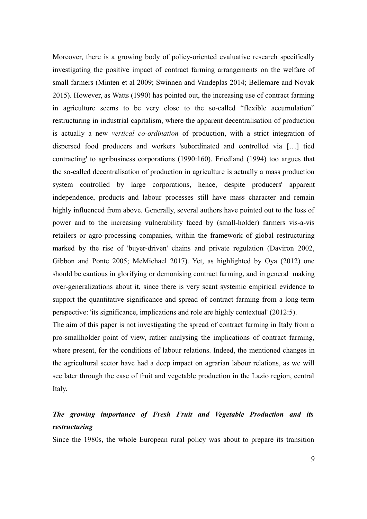Moreover, there is a growing body of policy-oriented evaluative research specifically investigating the positive impact of contract farming arrangements on the welfare of small farmers (Minten et al 2009; Swinnen and Vandeplas 2014; Bellemare and Novak 2015). However, as Watts (1990) has pointed out, the increasing use of contract farming in agriculture seems to be very close to the so-called "flexible accumulation" restructuring in industrial capitalism, where the apparent decentralisation of production is actually a new *vertical co-ordination* of production, with a strict integration of dispersed food producers and workers 'subordinated and controlled via […] tied contracting' to agribusiness corporations (1990:160). Friedland (1994) too argues that the so-called decentralisation of production in agriculture is actually a mass production system controlled by large corporations, hence, despite producers' apparent independence, products and labour processes still have mass character and remain highly influenced from above. Generally, several authors have pointed out to the loss of power and to the increasing vulnerability faced by (small-holder) farmers vis-a-vis retailers or agro-processing companies, within the framework of global restructuring marked by the rise of 'buyer-driven' chains and private regulation (Daviron 2002, Gibbon and Ponte 2005; McMichael 2017). Yet, as highlighted by Oya (2012) one should be cautious in glorifying or demonising contract farming, and in general making over-generalizations about it, since there is very scant systemic empirical evidence to support the quantitative significance and spread of contract farming from a long-term perspective: 'its significance, implications and role are highly contextual' (2012:5).

The aim of this paper is not investigating the spread of contract farming in Italy from a pro-smallholder point of view, rather analysing the implications of contract farming, where present, for the conditions of labour relations. Indeed, the mentioned changes in the agricultural sector have had a deep impact on agrarian labour relations, as we will see later through the case of fruit and vegetable production in the Lazio region, central Italy.

## *The growing importance of Fresh Fruit and Vegetable Production and its restructuring*

Since the 1980s, the whole European rural policy was about to prepare its transition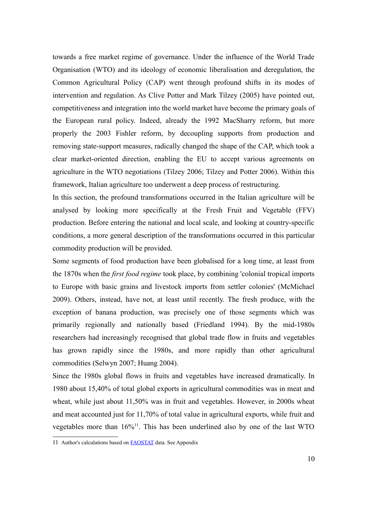towards a free market regime of governance. Under the influence of the World Trade Organisation (WTO) and its ideology of economic liberalisation and deregulation, the Common Agricultural Policy (CAP) went through profound shifts in its modes of intervention and regulation. As Clive Potter and Mark Tilzey (2005) have pointed out, competitiveness and integration into the world market have become the primary goals of the European rural policy. Indeed, already the 1992 MacSharry reform, but more properly the 2003 Fishler reform, by decoupling supports from production and removing state-support measures, radically changed the shape of the CAP, which took a clear market-oriented direction, enabling the EU to accept various agreements on agriculture in the WTO negotiations (Tilzey 2006; Tilzey and Potter 2006). Within this framework, Italian agriculture too underwent a deep process of restructuring.

In this section, the profound transformations occurred in the Italian agriculture will be analysed by looking more specifically at the Fresh Fruit and Vegetable (FFV) production. Before entering the national and local scale, and looking at country-specific conditions, a more general description of the transformations occurred in this particular commodity production will be provided.

Some segments of food production have been globalised for a long time, at least from the 1870s when the *first food regime* took place, by combining 'colonial tropical imports to Europe with basic grains and livestock imports from settler colonies' (McMichael 2009). Others, instead, have not, at least until recently. The fresh produce, with the exception of banana production, was precisely one of those segments which was primarily regionally and nationally based (Friedland 1994). By the mid-1980s researchers had increasingly recognised that global trade flow in fruits and vegetables has grown rapidly since the 1980s, and more rapidly than other agricultural commodities (Selwyn 2007; Huang 2004).

Since the 1980s global flows in fruits and vegetables have increased dramatically. In 1980 about 15,40% of total global exports in agricultural commodities was in meat and wheat, while just about 11,50% was in fruit and vegetables. However, in 2000s wheat and meat accounted just for 11,70% of total value in agricultural exports, while fruit and vegetables more than 16%<sup>[11](#page-10-0)</sup>. This has been underlined also by one of the last WTO

<span id="page-10-0"></span><sup>11</sup> Author's calculations based on [FAOSTAT](http://faostat3.fao.org/download/T/TP/E) data. See Appendix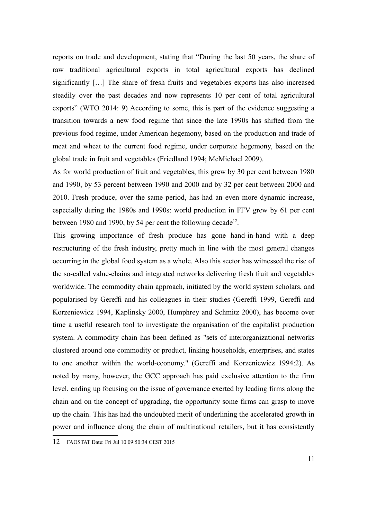reports on trade and development, stating that "During the last 50 years, the share of raw traditional agricultural exports in total agricultural exports has declined significantly […] The share of fresh fruits and vegetables exports has also increased steadily over the past decades and now represents 10 per cent of total agricultural exports" (WTO 2014: 9) According to some, this is part of the evidence suggesting a transition towards a new food regime that since the late 1990s has shifted from the previous food regime, under American hegemony, based on the production and trade of meat and wheat to the current food regime, under corporate hegemony, based on the global trade in fruit and vegetables (Friedland 1994; McMichael 2009).

As for world production of fruit and vegetables, this grew by 30 per cent between 1980 and 1990, by 53 percent between 1990 and 2000 and by 32 per cent between 2000 and 2010. Fresh produce, over the same period, has had an even more dynamic increase, especially during the 1980s and 1990s: world production in FFV grew by 61 per cent between 1980 and 1990, by 54 per cent the following decade<sup>[12](#page-11-0)</sup>.

This growing importance of fresh produce has gone hand-in-hand with a deep restructuring of the fresh industry, pretty much in line with the most general changes occurring in the global food system as a whole. Also this sector has witnessed the rise of the so-called value-chains and integrated networks delivering fresh fruit and vegetables worldwide. The commodity chain approach, initiated by the world system scholars, and popularised by Gereffi and his colleagues in their studies (Gereffi 1999, Gereffi and Korzeniewicz 1994, Kaplinsky 2000, Humphrey and Schmitz 2000), has become over time a useful research tool to investigate the organisation of the capitalist production system. A commodity chain has been defined as "sets of interorganizational networks clustered around one commodity or product, linking households, enterprises, and states to one another within the world-economy." (Gereffi and Korzeniewicz 1994:2). As noted by many, however, the GCC approach has paid exclusive attention to the firm level, ending up focusing on the issue of governance exerted by leading firms along the chain and on the concept of upgrading, the opportunity some firms can grasp to move up the chain. This has had the undoubted merit of underlining the accelerated growth in power and influence along the chain of multinational retailers, but it has consistently

<span id="page-11-0"></span><sup>12</sup> FAOSTAT Date: Fri Jul 10 09:50:34 CEST 2015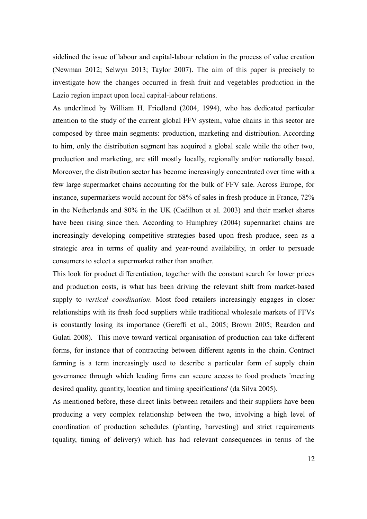sidelined the issue of labour and capital-labour relation in the process of value creation (Newman 2012; Selwyn 2013; Taylor 2007). The aim of this paper is precisely to investigate how the changes occurred in fresh fruit and vegetables production in the Lazio region impact upon local capital-labour relations.

As underlined by William H. Friedland (2004, 1994), who has dedicated particular attention to the study of the current global FFV system, value chains in this sector are composed by three main segments: production, marketing and distribution. According to him, only the distribution segment has acquired a global scale while the other two, production and marketing, are still mostly locally, regionally and/or nationally based. Moreover, the distribution sector has become increasingly concentrated over time with a few large supermarket chains accounting for the bulk of FFV sale. Across Europe, for instance, supermarkets would account for 68% of sales in fresh produce in France, 72% in the Netherlands and 80% in the UK (Cadilhon et al. 2003) and their market shares have been rising since then. According to Humphrey (2004) supermarket chains are increasingly developing competitive strategies based upon fresh produce, seen as a strategic area in terms of quality and year-round availability, in order to persuade consumers to select a supermarket rather than another.

This look for product differentiation, together with the constant search for lower prices and production costs, is what has been driving the relevant shift from market-based supply to *vertical coordination*. Most food retailers increasingly engages in closer relationships with its fresh food suppliers while traditional wholesale markets of FFVs is constantly losing its importance (Gereffi et al., 2005; Brown 2005; Reardon and Gulati 2008). This move toward vertical organisation of production can take different forms, for instance that of contracting between different agents in the chain. Contract farming is a term increasingly used to describe a particular form of supply chain governance through which leading firms can secure access to food products 'meeting desired quality, quantity, location and timing specifications' (da Silva 2005).

As mentioned before, these direct links between retailers and their suppliers have been producing a very complex relationship between the two, involving a high level of coordination of production schedules (planting, harvesting) and strict requirements (quality, timing of delivery) which has had relevant consequences in terms of the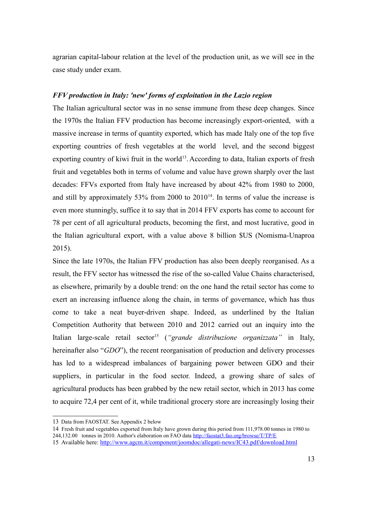agrarian capital-labour relation at the level of the production unit, as we will see in the case study under exam.

#### *FFV production in Italy: 'new' forms of exploitation in the Lazio region*

The Italian agricultural sector was in no sense immune from these deep changes. Since the 1970s the Italian FFV production has become increasingly export-oriented, with a massive increase in terms of quantity exported, which has made Italy one of the top five exporting countries of fresh vegetables at the world level, and the second biggest exporting country of kiwi fruit in the world<sup>[13](#page-13-0)</sup>. According to data, Italian exports of fresh fruit and vegetables both in terms of volume and value have grown sharply over the last decades: FFVs exported from Italy have increased by about 42% from 1980 to 2000, and still by approximately 53% from 2000 to  $2010^{14}$  $2010^{14}$  $2010^{14}$ . In terms of value the increase is even more stunningly, suffice it to say that in 2014 FFV exports has come to account for 78 per cent of all agricultural products, becoming the first, and most lucrative, good in the Italian agricultural export, with a value above 8 billion \$US (Nomisma-Unaproa 2015).

Since the late 1970s, the Italian FFV production has also been deeply reorganised. As a result, the FFV sector has witnessed the rise of the so-called Value Chains characterised, as elsewhere, primarily by a double trend: on the one hand the retail sector has come to exert an increasing influence along the chain, in terms of governance, which has thus come to take a neat buyer-driven shape. Indeed, as underlined by the Italian Competition Authority that between 2010 and 2012 carried out an inquiry into the Italian large-scale retail sector<sup>[15](#page-13-2)</sup> (*"grande distribuzione organizzata"* in Italy, hereinafter also "*GDO*"), the recent reorganisation of production and delivery processes has led to a widespread imbalances of bargaining power between GDO and their suppliers, in particular in the food sector. Indeed, a growing share of sales of agricultural products has been grabbed by the new retail sector, which in 2013 has come to acquire 72,4 per cent of it, while traditional grocery store are increasingly losing their

<span id="page-13-0"></span><sup>13</sup> Data from FAOSTAT. See Appendix 2 below

<span id="page-13-1"></span><sup>14</sup> Fresh fruit and vegetables exported from Italy have grown during this period from 111,978.00 tonnes in 1980 to

<sup>244,132.00</sup> tonnes in 2010. Author's elaboration on FAO data<http://faostat3.fao.org/browse/T/TP/E>

<span id="page-13-2"></span><sup>15</sup> Available here:<http://www.agcm.it/component/joomdoc/allegati-news/IC43.pdf/download.html>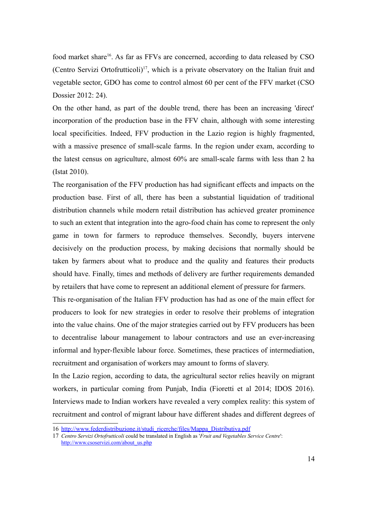food market share<sup>[16](#page-14-0)</sup>. As far as FFVs are concerned, according to data released by CSO (Centro Servizi Ortofrutticoli)<sup>[17](#page-14-1)</sup>, which is a private observatory on the Italian fruit and vegetable sector, GDO has come to control almost 60 per cent of the FFV market (CSO Dossier 2012: 24).

On the other hand, as part of the double trend, there has been an increasing 'direct' incorporation of the production base in the FFV chain, although with some interesting local specificities. Indeed, FFV production in the Lazio region is highly fragmented, with a massive presence of small-scale farms. In the region under exam, according to the latest census on agriculture, almost 60% are small-scale farms with less than 2 ha (Istat 2010).

The reorganisation of the FFV production has had significant effects and impacts on the production base. First of all, there has been a substantial liquidation of traditional distribution channels while modern retail distribution has achieved greater prominence to such an extent that integration into the agro-food chain has come to represent the only game in town for farmers to reproduce themselves. Secondly, buyers intervene decisively on the production process, by making decisions that normally should be taken by farmers about what to produce and the quality and features their products should have. Finally, times and methods of delivery are further requirements demanded by retailers that have come to represent an additional element of pressure for farmers.

This re-organisation of the Italian FFV production has had as one of the main effect for producers to look for new strategies in order to resolve their problems of integration into the value chains. One of the major strategies carried out by FFV producers has been to decentralise labour management to labour contractors and use an ever-increasing informal and hyper-flexible labour force. Sometimes, these practices of intermediation, recruitment and organisation of workers may amount to forms of slavery.

In the Lazio region, according to data, the agricultural sector relies heavily on migrant workers, in particular coming from Punjab, India (Fioretti et al 2014; IDOS 2016). Interviews made to Indian workers have revealed a very complex reality: this system of recruitment and control of migrant labour have different shades and different degrees of

<span id="page-14-0"></span><sup>16</sup> [http://www.federdistribuzione.it/studi\\_ricerche/files/Mappa\\_Distributiva.pdf](http://www.federdistribuzione.it/studi_ricerche/files/Mappa_Distributiva.pdf)

<span id="page-14-1"></span><sup>17</sup> *Centro Servizi Ortofrutticoli* could be translated in English as '*Fruit and Vegetables Service Centre*': [http://www.csoservizi.com/about\\_us.php](http://www.csoservizi.com/about_us.php)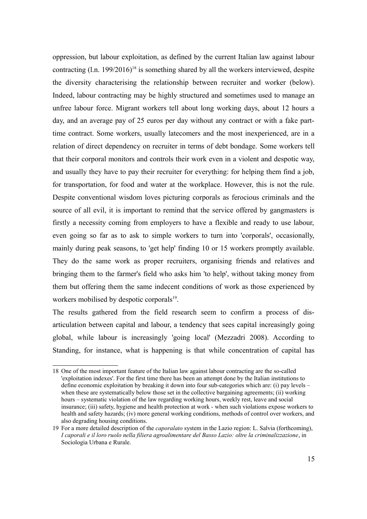oppression, but labour exploitation, as defined by the current Italian law against labour contracting  $(1 \text{ n. } 199/2016)^{18}$  $(1 \text{ n. } 199/2016)^{18}$  $(1 \text{ n. } 199/2016)^{18}$  is something shared by all the workers interviewed, despite the diversity characterising the relationship between recruiter and worker (below). Indeed, labour contracting may be highly structured and sometimes used to manage an unfree labour force. Migrant workers tell about long working days, about 12 hours a day, and an average pay of 25 euros per day without any contract or with a fake parttime contract. Some workers, usually latecomers and the most inexperienced, are in a relation of direct dependency on recruiter in terms of debt bondage. Some workers tell that their corporal monitors and controls their work even in a violent and despotic way, and usually they have to pay their recruiter for everything: for helping them find a job, for transportation, for food and water at the workplace. However, this is not the rule. Despite conventional wisdom loves picturing corporals as ferocious criminals and the source of all evil, it is important to remind that the service offered by gangmasters is firstly a necessity coming from employers to have a flexible and ready to use labour, even going so far as to ask to simple workers to turn into 'corporals', occasionally, mainly during peak seasons, to 'get help' finding 10 or 15 workers promptly available. They do the same work as proper recruiters, organising friends and relatives and bringing them to the farmer's field who asks him 'to help', without taking money from them but offering them the same indecent conditions of work as those experienced by workers mobilised by despotic corporals<sup>[19](#page-15-1)</sup>.

The results gathered from the field research seem to confirm a process of disarticulation between capital and labour, a tendency that sees capital increasingly going global, while labour is increasingly 'going local' (Mezzadri 2008). According to Standing, for instance, what is happening is that while concentration of capital has

<span id="page-15-0"></span><sup>18</sup> One of the most important feature of the Italian law against labour contracting are the so-called 'exploitation indexes'. For the first time there has been an attempt done by the Italian institutions to define economic exploitation by breaking it down into four sub-categories which are: (i) pay levels – when these are systematically below those set in the collective bargaining agreements; (ii) working hours – systematic violation of the law regarding working hours, weekly rest, leave and social insurance; (iii) safety, hygiene and health protection at work - when such violations expose workers to health and safety hazards; (iv) more general working conditions, methods of control over workers, and also degrading housing conditions.

<span id="page-15-1"></span><sup>19</sup> For a more detailed description of the *caporalato* system in the Lazio region: L. Salvia (forthcoming), *I caporali e il loro ruolo nella filiera agroalimentare del Basso Lazio: oltre la criminalizzazione*, in Sociologia Urbana e Rurale.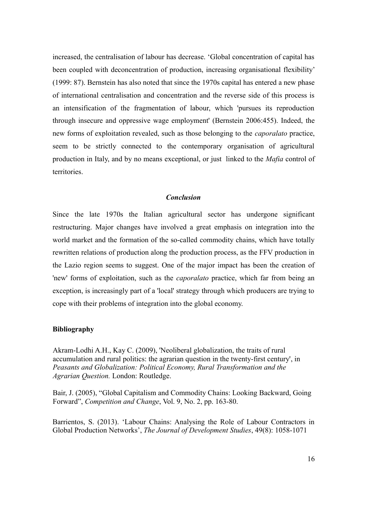increased, the centralisation of labour has decrease. 'Global concentration of capital has been coupled with deconcentration of production, increasing organisational flexibility' (1999: 87). Bernstein has also noted that since the 1970s capital has entered a new phase of international centralisation and concentration and the reverse side of this process is an intensification of the fragmentation of labour, which 'pursues its reproduction through insecure and oppressive wage employment' (Bernstein 2006:455). Indeed, the new forms of exploitation revealed, such as those belonging to the *caporalato* practice, seem to be strictly connected to the contemporary organisation of agricultural production in Italy, and by no means exceptional, or just linked to the *Mafia* control of territories.

#### *Conclusion*

Since the late 1970s the Italian agricultural sector has undergone significant restructuring. Major changes have involved a great emphasis on integration into the world market and the formation of the so-called commodity chains, which have totally rewritten relations of production along the production process, as the FFV production in the Lazio region seems to suggest. One of the major impact has been the creation of 'new' forms of exploitation, such as the *caporalato* practice, which far from being an exception, is increasingly part of a 'local' strategy through which producers are trying to cope with their problems of integration into the global economy.

#### **Bibliography**

Akram-Lodhi A.H., Kay C. (2009), 'Neoliberal globalization, the traits of rural accumulation and rural politics: the agrarian question in the twenty-first century', in *Peasants and Globalization: Political Economy, Rural Transformation and the Agrarian Question.* London: Routledge.

Bair, J. (2005), "Global Capitalism and Commodity Chains: Looking Backward, Going Forward", *Competition and Change*, Vol. 9, No. 2, pp. 163-80.

Barrientos, S. (2013). 'Labour Chains: Analysing the Role of Labour Contractors in Global Production Networks', *The Journal of Development Studies*, 49(8): 1058-1071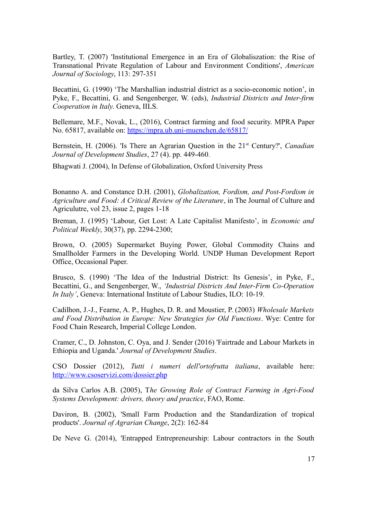Bartley, T. (2007) 'Institutional Emergence in an Era of Globaliszation: the Rise of Transnational Private Regulation of Labour and Environment Conditions', *American Journal of Sociology*, 113: 297-351

Becattini, G. (1990) 'The Marshallian industrial district as a socio-economic notion', in Pyke, F., Becattini, G. and Sengenberger, W. (eds), *Industrial Districts and Inter-firm Cooperation in Italy*. Geneva, IILS.

Bellemare, M.F., Novak, L., (2016), Contract farming and food security. MPRA Paper No. 65817, available on:<https://mpra.ub.uni-muenchen.de/65817/>

Bernstein, H. (2006). 'Is There an Agrarian Ouestion in the 21<sup>st</sup> Century?', *Canadian Journal of Development Studies*, 27 (4). pp. 449-460.

Bhagwati J. (2004), In Defense of Globalization, Oxford University Press

Bonanno A. and Constance D.H. (2001), *Globalization, Fordism, and Post-Fordism in Agriculture and Food: A Critical Review of the Literature*, in The Journal of Culture and Agriculutre, vol 23, issue 2, pages 1-18

Breman, J. (1995) 'Labour, Get Lost: A Late Capitalist Manifesto', in *Economic and Political Weekly*, 30(37), pp. 2294-2300;

Brown, O. (2005) Supermarket Buying Power, Global Commodity Chains and Smallholder Farmers in the Developing World. UNDP Human Development Report Office, Occasional Paper.

Brusco, S. (1990) 'The Idea of the Industrial District: Its Genesis', in Pyke, F., Becattini, G., and Sengenberger, W., *'Industrial Districts And Inter-Firm Co-Operation In Italy'*, Geneva: International Institute of Labour Studies, ILO: 10-19.

Cadilhon, J.-J., Fearne, A. P., Hughes, D. R. and Moustier, P. (2003) *Wholesale Markets and Food Distribution in Europe: New Strategies for Old Functions*. Wye: Centre for Food Chain Research, Imperial College London.

Cramer, C., D. Johnston, C. Oya, and J. Sender (2016) 'Fairtrade and Labour Markets in Ethiopia and Uganda.' *Journal of Development Studies*.

CSO Dossier (2012), *Tutti i numeri dell'ortofrutta italiana*, available here: <http://www.csoservizi.com/dossier.php>

da Silva Carlos A.B. (2005), T*he Growing Role of Contract Farming in Agri-Food Systems Development: drivers, theory and practice*, FAO, Rome.

Daviron, B. (2002), 'Small Farm Production and the Standardization of tropical products'. *Journal of Agrarian Change*, 2(2): 162-84

De Neve G. (2014), 'Entrapped Entrepreneurship: Labour contractors in the South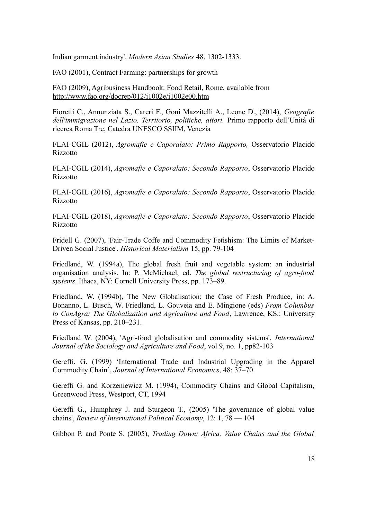Indian garment industry'. *Modern Asian Studies* 48, 1302-1333.

FAO (2001), Contract Farming: partnerships for growth

FAO (2009), Agribusiness Handbook: Food Retail, Rome, available from <http://www.fao.org/docrep/012/i1002e/i1002e00.htm>

Fioretti C., Annunziata S., Careri F., Goni Mazzitelli A., Leone D., (2014), *Geografie dell'immigrazione nel Lazio. Territorio, politiche, attori.* Primo rapporto dell'Unità di ricerca Roma Tre, Catedra UNESCO SSIIM, Venezia

FLAI-CGIL (2012), *Agromafie e Caporalato: Primo Rapporto,* Osservatorio Placido Rizzotto

FLAI-CGIL (2014), *Agromafie e Caporalato: Secondo Rapporto*, Osservatorio Placido Rizzotto

FLAI-CGIL (2016), *Agromafie e Caporalato: Secondo Rapporto*, Osservatorio Placido Rizzotto

FLAI-CGIL (2018), *Agromafie e Caporalato: Secondo Rapporto*, Osservatorio Placido Rizzotto

Fridell G. (2007), 'Fair-Trade Coffe and Commodity Fetishism: The Limits of Market-Driven Social Justice'. *Historical Materialism* 15, pp. 79-104

Friedland, W. (1994a), The global fresh fruit and vegetable system: an industrial organisation analysis. In: P. McMichael, ed. *The global restructuring of agro-food systems*. Ithaca, NY: Cornell University Press, pp. 173–89.

Friedland, W. (1994b), The New Globalisation: the Case of Fresh Produce, in: A. Bonanno, L. Busch, W. Friedland, L. Gouveia and E. Mingione (eds) *From Columbus to ConAgra: The Globalization and Agriculture and Food*, Lawrence, KS.: University Press of Kansas, pp. 210–231.

Friedland W. (2004), 'Agri-food globalisation and commodity sistems', *International Journal of the Sociology and Agriculture and Food*, vol 9, no. 1, pp82-103

Gereffi, G. (1999) 'International Trade and Industrial Upgrading in the Apparel Commodity Chain', *Journal of International Economics*, 48: 37–70

Gereffi G. and Korzeniewicz M. (1994), Commodity Chains and Global Capitalism, Greenwood Press, Westport, CT, 1994

Gereffi G., Humphrey J. and Sturgeon T., (2005) 'The governance of global value chains', *Review of International Political Economy*, 12: 1, 78 — 104

Gibbon P. and Ponte S. (2005), *Trading Down: Africa, Value Chains and the Global*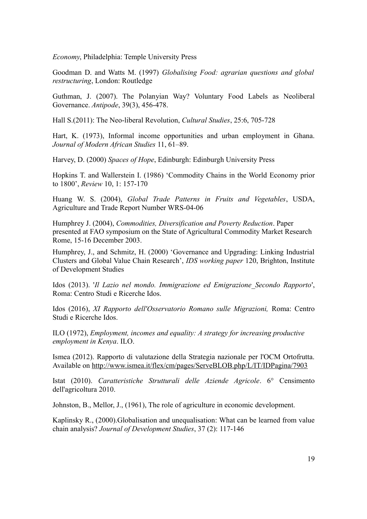*Economy*, Philadelphia: Temple University Press

Goodman D. and Watts M. (1997) *Globalising Food: agrarian questions and global restructuring*, London: Routledge

Guthman, J. (2007). The Polanyian Way? Voluntary Food Labels as Neoliberal Governance. *Antipode*, 39(3), 456-478.

Hall S.(2011): The Neo-liberal Revolution, *Cultural Studies*, 25:6, 705-728

Hart, K. (1973), Informal income opportunities and urban employment in Ghana. *Journal of Modern African Studies* 11, 61–89.

Harvey, D. (2000) *Spaces of Hope*, Edinburgh: Edinburgh University Press

Hopkins T. and Wallerstein I. (1986) 'Commodity Chains in the World Economy prior to 1800', *Review* 10, 1: 157-170

Huang W. S. (2004), *Global Trade Patterns in Fruits and Vegetables*, USDA, Agriculture and Trade Report Number WRS-04-06

Humphrey J. (2004), *Commodities, Diversification and Poverty Reduction*. Paper presented at FAO symposium on the State of Agricultural Commodity Market Research Rome, 15-16 December 2003.

Humphrey, J., and Schmitz, H. (2000) 'Governance and Upgrading: Linking Industrial Clusters and Global Value Chain Research', *IDS working paper* 120, Brighton, Institute of Development Studies

Idos (2013). '*Il Lazio nel mondo. Immigrazione ed Emigrazione\_Secondo Rapporto*', Roma: Centro Studi e Ricerche Idos.

Idos (2016), *XI Rapporto dell'Osservatorio Romano sulle Migrazioni,* Roma: Centro Studi e Ricerche Idos.

ILO (1972), *Employment, incomes and equality: A strategy for increasing productive employment in Kenya*. ILO.

Ismea (2012). Rapporto di valutazione della Strategia nazionale per l'OCM Ortofrutta. Available on<http://www.ismea.it/flex/cm/pages/ServeBLOB.php/L/IT/IDPagina/7903>

Istat (2010). *Caratteristiche Strutturali delle Aziende Agricole*. 6° Censimento dell'agricoltura 2010.

Johnston, B., Mellor, J., (1961), The role of agriculture in economic development.

Kaplinsky R., (2000).Globalisation and unequalisation: What can be learned from value chain analysis? *Journal of Development Studies*, 37 (2): 117-146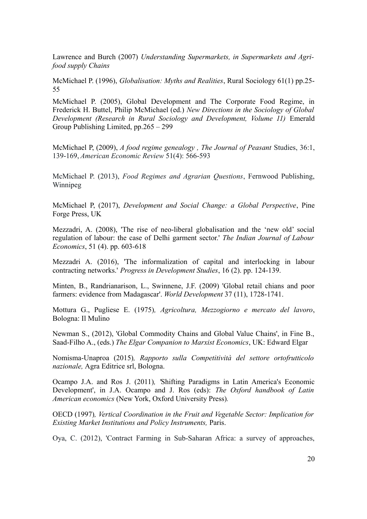Lawrence and Burch (2007) *Understanding Supermarkets, in Supermarkets and Agrifood supply Chains*

McMichael P. (1996), *Globalisation: Myths and Realities*, Rural Sociology 61(1) pp.25- 55

McMichael P. (2005), Global Development and The Corporate Food Regime, in Frederick H. Buttel, Philip McMichael (ed.) *New Directions in the Sociology of Global Development (Research in Rural Sociology and Development, Volume 11)* Emerald Group Publishing Limited, pp.265 – 299

McMichael P, (2009), *A food regime genealogy , The Journal of Peasant* Studies, 36:1, 139-169, *American Economic Review* 51(4): 566-593

McMichael P. (2013), *Food Regimes and Agrarian Questions*, Fernwood Publishing, Winnipeg

McMichael P, (2017), *Development and Social Change: a Global Perspective*, Pine Forge Press, UK

Mezzadri, A. (2008), 'The rise of neo-liberal globalisation and the 'new old' social regulation of labour: the case of Delhi garment sector.' *The Indian Journal of Labour Economics*, 51 (4). pp. 603-618

Mezzadri A. (2016), 'The informalization of capital and interlocking in labour contracting networks.' *Progress in Development Studies*, 16 (2). pp. 124-139.

Minten, B., Randrianarison, L., Swinnene, J.F. (2009) 'Global retail chians and poor farmers: evidence from Madagascar'. *World Development* 37 (11), 1728-1741.

Mottura G., Pugliese E. (1975)*, Agricoltura, Mezzogiorno e mercato del lavoro*, Bologna: Il Mulino

Newman S., (2012), 'Global Commodity Chains and Global Value Chains', in Fine B., Saad-Filho A., (eds.) *The Elgar Companion to Marxist Economics*, UK: Edward Elgar

Nomisma-Unaproa (2015)*, Rapporto sulla Competitività del settore ortofrutticolo nazionale,* Agra Editrice srl, Bologna.

Ocampo J.A. and Ros J. (2011)*, '*Shifting Paradigms in Latin America's Economic Development', in J.A. Ocampo and J. Ros (eds): *The Oxford handbook of Latin American economics* (New York, Oxford University Press)*.*

OECD (1997)*, Vertical Coordination in the Fruit and Vegetable Sector: Implication for Existing Market Institutions and Policy Instruments,* Paris.

Oya, C. (2012), 'Contract Farming in Sub-Saharan Africa: a survey of approaches,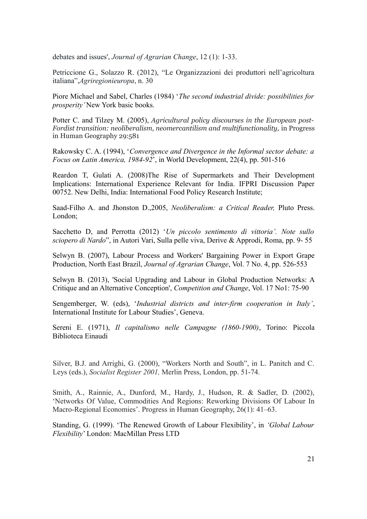debates and issues', *Journal of Agrarian Change*, 12 (1): 1-33.

Petriccione G., Solazzo R. (2012), "Le Organizzazioni dei produttori nell'agricoltura italiana",*Agriregionieuropa*, n. 30

Piore Michael and Sabel, Charles (1984) '*The second industrial divide: possibilities for prosperity'* New York basic books.

Potter C. and Tilzey M. (2005), *Agricultural policy discourses in the European post-Fordist transition: neoliberalism, neomercantilism and multifunctionality, in Progress* in Human Geography 29:581

Rakowsky C. A. (1994), '*Convergence and Divergence in the Informal sector debate: a Focus on Latin America, 1984-92*', in World Development, 22(4), pp. 501-516

Reardon T, Gulati A. (2008)The Rise of Supermarkets and Their Development Implications: International Experience Relevant for India. IFPRI Discussion Paper 00752. New Delhi, India: International Food Policy Research Institute;

Saad-Filho A. and Jhonston D.,2005, *Neoliberalism: a Critical Reader,* Pluto Press. London;

Sacchetto D, and Perrotta (2012) '*Un piccolo sentimento di vittoria'. Note sullo sciopero di Nardo*", in Autori Vari, Sulla pelle viva, Derive & Approdi, Roma, pp. 9- 55

Selwyn B. (2007), Labour Process and Workers' Bargaining Power in Export Grape Production, North East Brazil, *Journal of Agrarian Change*, Vol. 7 No. 4, pp. 526-553

Selwyn B. (2013), 'Social Upgrading and Labour in Global Production Networks: A Critique and an Alternative Conception', *Competition and Change*, Vol. 17 No1: 75-90

Sengemberger, W. (eds), '*Industrial districts and inter-firm cooperation in Italy'*, International Institute for Labour Studies', Geneva.

Sereni E. (1971), *Il capitalismo nelle Campagne (1860-1900)*, Torino: Piccola Biblioteca Einaudi

Silver, B.J. and Arrighi, G. (2000), "Workers North and South", in L. Panitch and C. Leys (eds.), *Socialist Register 2001,* Merlin Press, London, pp. 51-74.

Smith, A., Rainnie, A., Dunford, M., Hardy, J., Hudson, R. & Sadler, D. (2002), 'Networks Of Value, Commodities And Regions: Reworking Divisions Of Labour In Macro-Regional Economies'. Progress in Human Geography, 26(1): 41–63.

Standing, G. (1999). 'The Renewed Growth of Labour Flexibility', in *'Global Labour Flexibility*' London: MacMillan Press LTD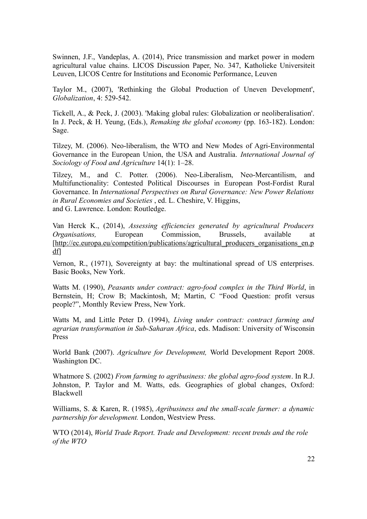Swinnen, J.F., Vandeplas, A. (2014), Price transmission and market power in modern agricultural value chains. LICOS Discussion Paper, No. 347, Katholieke Universiteit Leuven, LICOS Centre for Institutions and Economic Performance, Leuven

Taylor M., (2007), 'Rethinking the Global Production of Uneven Development', *Globalization*, 4: 529-542.

Tickell, A., & Peck, J. (2003). 'Making global rules: Globalization or neoliberalisation'. In J. Peck, & H. Yeung, (Eds.), *Remaking the global economy* (pp. 163-182). London: Sage.

Tilzey, M. (2006). Neo-liberalism, the WTO and New Modes of Agri-Environmental Governance in the European Union, the USA and Australia. *International Journal of Sociology of Food and Agriculture* 14(1): 1–28.

Tilzey, M., and C. Potter. (2006). Neo-Liberalism, Neo-Mercantilism, and Multifunctionality: Contested Political Discourses in European Post-Fordist Rural Governance. In *International Perspectives on Rural Governance: New Power Relations in Rural Economies and Societies* , ed. L. Cheshire, V. Higgins, and G. Lawrence. London: Routledge.

Van Herck K., (2014), *Assessing efficiencies generated by agricultural Producers Organisations,* European Commission, Brussels, available at [http://ec.europa.eu/competition/publications/agricultural producers organisations en.p  $df$ 

Vernon, R., (1971), Sovereignty at bay: the multinational spread of US enterprises. Basic Books, New York.

Watts M. (1990), *Peasants under contract: agro-food complex in the Third World*, in Bernstein, H; Crow B; Mackintosh, M; Martin, C "Food Question: profit versus people?", Monthly Review Press, New York.

Watts M, and Little Peter D. (1994), *Living under contract: contract farming and agrarian transformation in Sub-Saharan Africa*, eds. Madison: University of Wisconsin Press

World Bank (2007). *Agriculture for Development,* World Development Report 2008. Washington DC.

Whatmore S. (2002) *From farming to agribusiness: the global agro-food system*. In R.J. Johnston, P. Taylor and M. Watts, eds. Geographies of global changes, Oxford: Blackwell

Williams, S. & Karen, R. (1985), *Agribusiness and the small-scale farmer: a dynamic partnership for development.* London, Westview Press.

WTO (2014), *World Trade Report. Trade and Development: recent trends and the role of the WTO*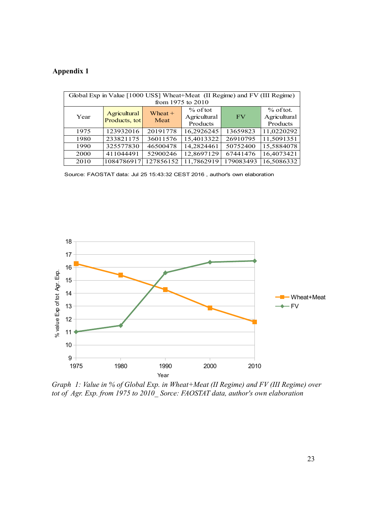### **Appendix 1**

| Global Exp in Value [1000 US\$] Wheat+Meat (II Regime) and FV (III Regime) |                               |                   |              |           |              |
|----------------------------------------------------------------------------|-------------------------------|-------------------|--------------|-----------|--------------|
| from 1975 to 2010                                                          |                               |                   |              |           |              |
| Year                                                                       | Agricultural<br>Products, tot | Wheat $+$<br>Meat | $%$ of tot   |           | $%$ of tot.  |
|                                                                            |                               |                   | Agricultural | FV        | Agricultural |
|                                                                            |                               |                   | Products     |           | Products     |
| 1975                                                                       | 123932016                     | 20191778          | 16,2926245   | 13659823  | 11,0220292   |
| 1980                                                                       | 233821175                     | 36011576          | 15,4013322   | 26910795  | 11,5091351   |
| 1990                                                                       | 325577830                     | 46500478          | 14,2824461   | 50752400  | 15,5884078   |
| 2000                                                                       | 411044491                     | 52900246          | 12,8697129   | 67441476  | 16,4073421   |
| 2010                                                                       | 1084786917                    | 127856152         | 11,7862919   | 179083493 | 16,5086332   |

Source: FAOSTAT data: Jul 25 15:43:32 CEST 2016 , author's own elaboration



*Graph 1: Value in % of Global Exp. in Wheat+Meat (II Regime) and FV (III Regime) over tot of Agr. Exp. from 1975 to 2010\_ Sorce: FAOSTAT data, author's own elaboration*